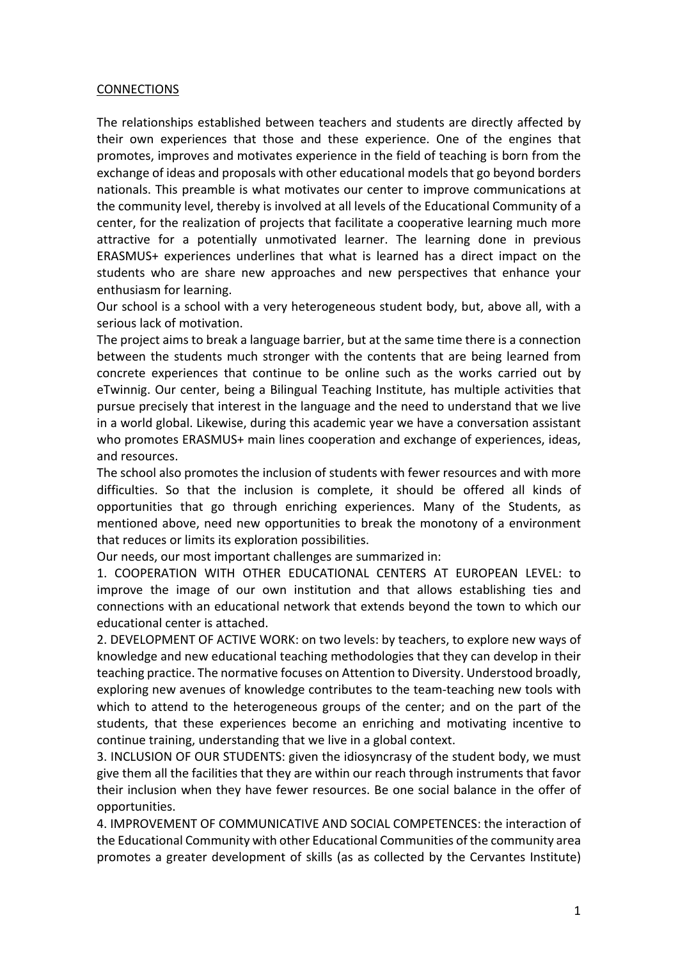## **CONNECTIONS**

The relationships established between teachers and students are directly affected by their own experiences that those and these experience. One of the engines that promotes, improves and motivates experience in the field of teaching is born from the exchange of ideas and proposals with other educational models that go beyond borders nationals. This preamble is what motivates our center to improve communications at the community level, thereby is involved at all levels of the Educational Community of a center, for the realization of projects that facilitate a cooperative learning much more attractive for a potentially unmotivated learner. The learning done in previous ERASMUS+ experiences underlines that what is learned has a direct impact on the students who are share new approaches and new perspectives that enhance your enthusiasm for learning.

Our school is a school with a very heterogeneous student body, but, above all, with a serious lack of motivation.

The project aims to break a language barrier, but at the same time there is a connection between the students much stronger with the contents that are being learned from concrete experiences that continue to be online such as the works carried out by eTwinnig. Our center, being a Bilingual Teaching Institute, has multiple activities that pursue precisely that interest in the language and the need to understand that we live in a world global. Likewise, during this academic year we have a conversation assistant who promotes ERASMUS+ main lines cooperation and exchange of experiences, ideas, and resources.

The school also promotes the inclusion of students with fewer resources and with more difficulties. So that the inclusion is complete, it should be offered all kinds of opportunities that go through enriching experiences. Many of the Students, as mentioned above, need new opportunities to break the monotony of a environment that reduces or limits its exploration possibilities.

Our needs, our most important challenges are summarized in:

1. COOPERATION WITH OTHER EDUCATIONAL CENTERS AT EUROPEAN LEVEL: to improve the image of our own institution and that allows establishing ties and connections with an educational network that extends beyond the town to which our educational center is attached.

2. DEVELOPMENT OF ACTIVE WORK: on two levels: by teachers, to explore new ways of knowledge and new educational teaching methodologies that they can develop in their teaching practice. The normative focuses on Attention to Diversity. Understood broadly, exploring new avenues of knowledge contributes to the team-teaching new tools with which to attend to the heterogeneous groups of the center; and on the part of the students, that these experiences become an enriching and motivating incentive to continue training, understanding that we live in a global context.

3. INCLUSION OF OUR STUDENTS: given the idiosyncrasy of the student body, we must give them all the facilities that they are within our reach through instruments that favor their inclusion when they have fewer resources. Be one social balance in the offer of opportunities.

4. IMPROVEMENT OF COMMUNICATIVE AND SOCIAL COMPETENCES: the interaction of the Educational Community with other Educational Communities of the community area promotes a greater development of skills (as as collected by the Cervantes Institute)